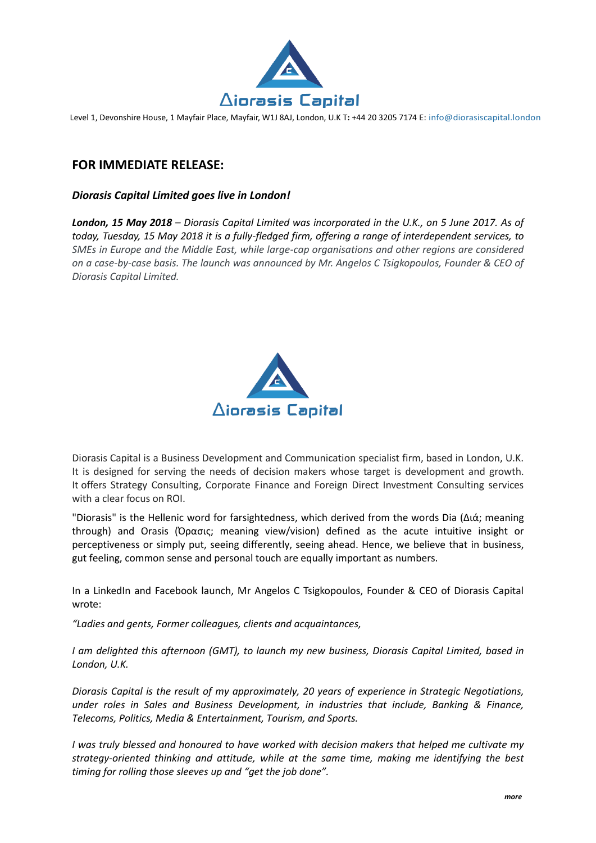

Level 1, Devonshire House, 1 Mayfair Place, Mayfair, W1J 8AJ, London, U.K T**:** +44 20 3205 7174 E: info@diorasiscapital.london

## **FOR IMMEDIATE RELEASE:**

## *Diorasis Capital Limited goes live in London!*

*London, 15 May 2018 – Diorasis Capital Limited was incorporated in the U.K., on 5 June 2017. As of today, Tuesday, 15 May 2018 it is a fully-fledged firm, offering a range of interdependent services, to SMEs in Europe and the Middle East, while large-cap organisations and other regions are considered on a case-by-case basis. The launch was announced by Mr. Angelos C Tsigkopoulos, Founder & CEO of Diorasis Capital Limited.* 



Diorasis Capital is a Business Development and Communication specialist firm, based in London, U.K. It is designed for serving the needs of decision makers whose target is development and growth. It offers Strategy Consulting, Corporate Finance and Foreign Direct Investment Consulting services with a clear focus on ROI.

"Diorasis" is the Hellenic word for farsightedness, which derived from the words Dia (Διά; meaning through) and Orasis (Όρασις; meaning view/vision) defined as the acute intuitive insight or perceptiveness or simply put, seeing differently, seeing ahead. Hence, we believe that in business, gut feeling, common sense and personal touch are equally important as numbers.

In a LinkedIn and Facebook launch, Mr Angelos C Tsigkopoulos, Founder & CEO of Diorasis Capital wrote:

*"Ladies and gents, Former colleagues, clients and acquaintances,*

*I am delighted this afternoon (GMT), to launch my new business, Diorasis Capital Limited, based in London, U.K.*

*Diorasis Capital is the result of my approximately, 20 years of experience in Strategic Negotiations, under roles in Sales and Business Development, in industries that include, Banking & Finance, Telecoms, Politics, Media & Entertainment, Tourism, and Sports.*

*I was truly blessed and honoured to have worked with decision makers that helped me cultivate my strategy-oriented thinking and attitude, while at the same time, making me identifying the best timing for rolling those sleeves up and "get the job done".*